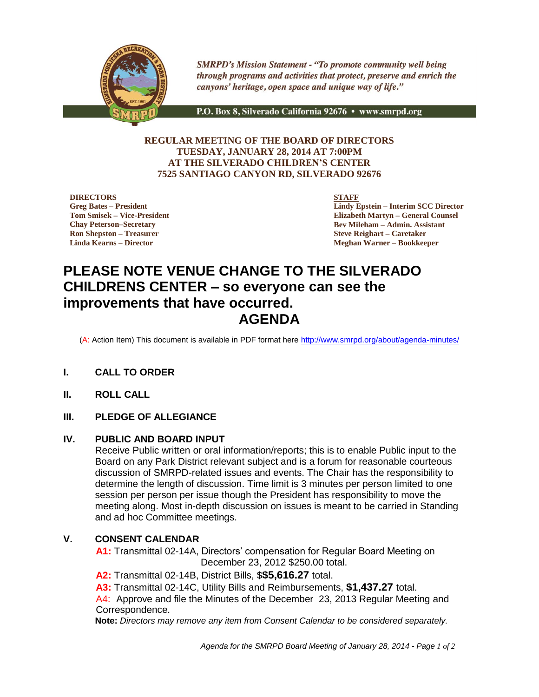

**SMRPD's Mission Statement - "To promote community well being** through programs and activities that protect, preserve and enrich the canyons' heritage, open space and unique way of life."

P.O. Box 8, Silverado California 92676 · www.smrpd.org

## **REGULAR MEETING OF THE BOARD OF DIRECTORS TUESDAY, JANUARY 28, 2014 AT 7:00PM AT THE SILVERADO CHILDREN'S CENTER 7525 SANTIAGO CANYON RD, SILVERADO 92676**

**DIRECTORS Greg Bates – President Tom Smisek – Vice-President Chay Peterson–Secretary Ron Shepston – Treasurer**

**Linda Kearns – Director**

**STAFF**

**Lindy Epstein – Interim SCC Director Elizabeth Martyn – General Counsel Bev Mileham – Admin. Assistant Steve Reighart – Caretaker Meghan Warner – Bookkeeper**

# **PLEASE NOTE VENUE CHANGE TO THE SILVERADO CHILDRENS CENTER – so everyone can see the improvements that have occurred. AGENDA**

(A: Action Item) This document is available in PDF format here<http://www.smrpd.org/>about/agenda-minutes/

- **I. CALL TO ORDER**
- **II. ROLL CALL**

# **III. PLEDGE OF ALLEGIANCE**

#### **IV. PUBLIC AND BOARD INPUT**

Receive Public written or oral information/reports; this is to enable Public input to the Board on any Park District relevant subject and is a forum for reasonable courteous discussion of SMRPD-related issues and events. The Chair has the responsibility to determine the length of discussion. Time limit is 3 minutes per person limited to one session per person per issue though the President has responsibility to move the meeting along. Most in-depth discussion on issues is meant to be carried in Standing and ad hoc Committee meetings.

#### **V. CONSENT CALENDAR**

**A1:** Transmittal 02-14A, Directors' compensation for Regular Board Meeting on December 23, 2012 \$250.00 total.

**A2:** Transmittal 02-14B, District Bills, \$**\$5,616.27** total.

**A3:** Transmittal 02-14C, Utility Bills and Reimbursements, **\$1,437.27** total.

A4: Approve and file the Minutes of the December 23, 2013 Regular Meeting and Correspondence.

**Note:** *Directors may remove any item from Consent Calendar to be considered separately.*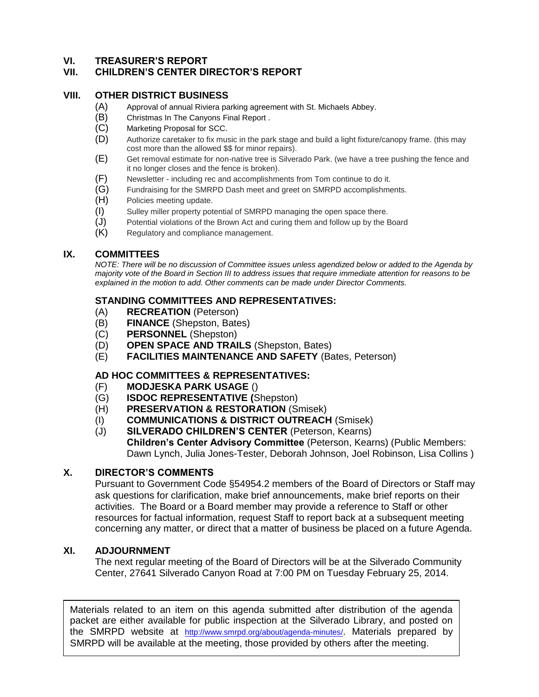# **VI. TREASURER'S REPORT**

# **VII. CHILDREN'S CENTER DIRECTOR'S REPORT**

#### **VIII. OTHER DISTRICT BUSINESS**

- (A) Approval of annual Riviera parking agreement with St. Michaels Abbey.
- (B) Christmas In The Canyons Final Report .
- (C) Marketing Proposal for SCC.
- (D) Authorize caretaker to fix music in the park stage and build a light fixture/canopy frame. (this may cost more than the allowed \$\$ for minor repairs).
- (E) Get removal estimate for non-native tree is Silverado Park. (we have a tree pushing the fence and it no longer closes and the fence is broken).
- (F) Newsletter including rec and accomplishments from Tom continue to do it.<br>(G) Fundraising for the SMRPD Dash meet and greet on SMRPD accomplishme
- Fundraising for the SMRPD Dash meet and greet on SMRPD accomplishments.
- (H) Policies meeting update.
- (I) Sulley miller property potential of SMRPD managing the open space there.
- (J) Potential violations of the Brown Act and curing them and follow up by the Board
- (K) Regulatory and compliance management.

## **IX. COMMITTEES**

*NOTE: There will be no discussion of Committee issues unless agendized below or added to the Agenda by majority vote of the Board in Section III to address issues that require immediate attention for reasons to be explained in the motion to add. Other comments can be made under Director Comments.*

## **STANDING COMMITTEES AND REPRESENTATIVES:**

- (A) **RECREATION** (Peterson)
- (B) **FINANCE** (Shepston, Bates)
- (C) **PERSONNEL** (Shepston)
- (D) **OPEN SPACE AND TRAILS** (Shepston, Bates)
- (E) **FACILITIES MAINTENANCE AND SAFETY** (Bates, Peterson)

# **AD HOC COMMITTEES & REPRESENTATIVES:**

- (F) **MODJESKA PARK USAGE** ()
- (G) **ISDOC REPRESENTATIVE (**Shepston)
- (H) **PRESERVATION & RESTORATION** (Smisek)
- (I) **COMMUNICATIONS & DISTRICT OUTREACH** (Smisek)
- (J) **SILVERADO CHILDREN'S CENTER** (Peterson, Kearns) **Children's Center Advisory Committee** (Peterson, Kearns) (Public Members: Dawn Lynch, Julia Jones-Tester, Deborah Johnson, Joel Robinson, Lisa Collins )

#### **X. DIRECTOR'S COMMENTS**

Pursuant to Government Code §54954.2 members of the Board of Directors or Staff may ask questions for clarification, make brief announcements, make brief reports on their activities. The Board or a Board member may provide a reference to Staff or other resources for factual information, request Staff to report back at a subsequent meeting concerning any matter, or direct that a matter of business be placed on a future Agenda.

#### **XI. ADJOURNMENT**

The next regular meeting of the Board of Directors will be at the Silverado Community Center, 27641 Silverado Canyon Road at 7:00 PM on Tuesday February 25, 2014.

SMRPD will be available at the meeting, those provided by others after the meeting. Materials related to an item on this agenda submitted after distribution of the agenda packet are either available for public inspection at the Silverado Library, and posted on the SMRPD website at <http://www.smrpd.org/>about/agenda-minutes/. Materials prepared by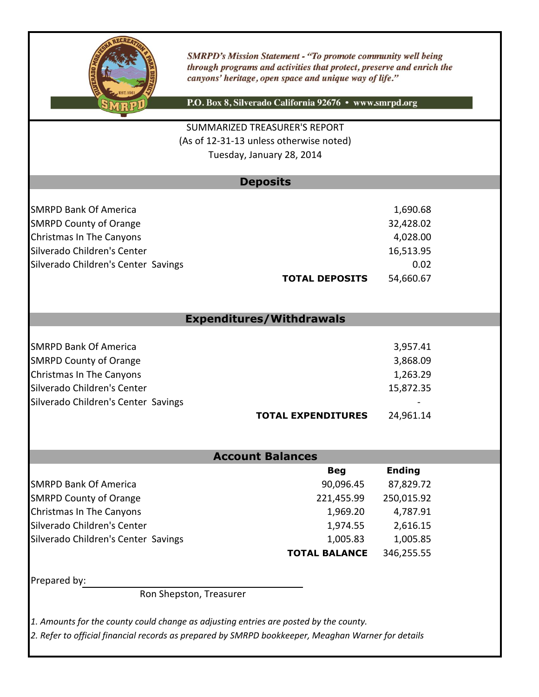

**SMRPD's Mission Statement - "To promote community well being** through programs and activities that protect, preserve and enrich the canyons' heritage, open space and unique way of life."

P.O. Box 8, Silverado California 92676 · www.smrpd.org

(As of 12-31-13 unless otherwise noted) SUMMARIZED TREASURER'S REPORT Tuesday, January 28, 2014

# **Deposits**

| <b>SMRPD Bank Of America</b>        | 1,690.68  |
|-------------------------------------|-----------|
| <b>SMRPD County of Orange</b>       | 32,428.02 |
| Christmas In The Canyons            | 4,028.00  |
| Silverado Children's Center         | 16,513.95 |
| Silverado Children's Center Savings | 0.02      |
| <b>TOTAL DEPOSITS</b>               | 54,660.67 |

# **Expenditures/Withdrawals**

|                                     | <b>TOTAL EXPENDITURES</b> | 24,961.14 |
|-------------------------------------|---------------------------|-----------|
| Silverado Children's Center Savings |                           |           |
| Silverado Children's Center         |                           | 15,872.35 |
| Christmas In The Canyons            |                           | 1,263.29  |
| <b>SMRPD County of Orange</b>       |                           | 3,868.09  |
| <b>SMRPD Bank Of America</b>        |                           | 3,957.41  |
|                                     |                           |           |

# **Account Balances**

|                                     | <b>Beg</b>           | <b>Ending</b> |
|-------------------------------------|----------------------|---------------|
| <b>SMRPD Bank Of America</b>        | 90,096.45            | 87,829.72     |
| <b>SMRPD County of Orange</b>       | 221,455.99           | 250,015.92    |
| Christmas In The Canyons            | 1,969.20             | 4,787.91      |
| Silverado Children's Center         | 1,974.55             | 2,616.15      |
| Silverado Children's Center Savings | 1,005.83             | 1,005.85      |
|                                     | <b>TOTAL BALANCE</b> | 346,255.55    |

Prepared by:

Ron Shepston, Treasurer

*1. Amounts for the county could change as adjusting entries are posted by the county.*

*2. Refer to official financial records as prepared by SMRPD bookkeeper, Meaghan Warner for details*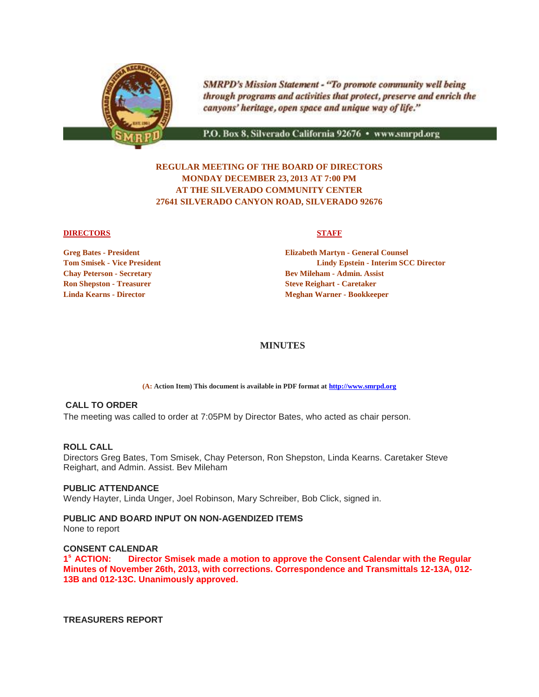

**SMRPD's Mission Statement - "To promote community well being** through programs and activities that protect, preserve and enrich the canyons' heritage, open space and unique way of life."

P.O. Box 8, Silverado California 92676 · www.smrpd.org

# **REGULAR MEETING OF THE BOARD OF DIRECTORS MONDAY DECEMBER 23, 2013 AT 7:00 PM AT THE SILVERADO COMMUNITY CENTER 27641 SILVERADO CANYON ROAD, SILVERADO 92676**

#### **DIRECTORS** STAFF

**Ron Shepston - Treasurer Steve Reighart - Caretaker** Steve Reighart - Caretaker

**Greg Bates - President Elizabeth Martyn - General Counsel Tom Smisek - Vice President Lindy Epstein - Interim SCC Director Chay Peterson - Secretary Bev Mileham - Admin. Assist Linda Kearns - Director Meghan Warner - Bookkeeper**

#### **MINUTES**

**(A: Action Item) This document is available in PDF format at [http://www.smrpd.org](http://www.smrpd.org/)**

#### **CALL TO ORDER**

The meeting was called to order at 7:05PM by Director Bates, who acted as chair person.

#### **ROLL CALL**

Directors Greg Bates, Tom Smisek, Chay Peterson, Ron Shepston, Linda Kearns. Caretaker Steve Reighart, and Admin. Assist. Bev Mileham

#### **PUBLIC ATTENDANCE**

Wendy Hayter, Linda Unger, Joel Robinson, Mary Schreiber, Bob Click, signed in.

#### **PUBLIC AND BOARD INPUT ON NON-AGENDIZED ITEMS**

None to report

#### **CONSENT CALENDAR**

1<sup>°</sup> ACTION: **Director Smisek made a motion to approve the Consent Calendar with the Regular Minutes of November 26th, 2013, with corrections. Correspondence and Transmittals 12-13A, 012- 13B and 012-13C. Unanimously approved.**

**TREASURERS REPORT**